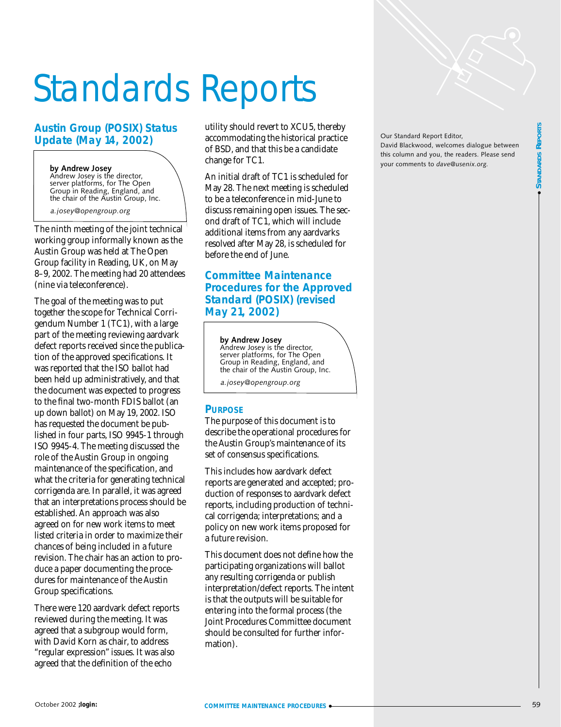# Standards Reports

## **Austin Group (POSIX) Status Update (May 14, 2002)**

#### **by Andrew Josey**

Andrew Josey is the director, server platforms, for The Open Group in Reading, England, and the chair of the Austin Group, Inc.

*a.josey@opengroup.org*

The ninth meeting of the joint technical working group informally known as the Austin Group was held at The Open Group facility in Reading, UK, on May 8–9, 2002. The meeting had 20 attendees (nine via teleconference).

The goal of the meeting was to put together the scope for Technical Corrigendum Number 1 (TC1), with a large part of the meeting reviewing aardvark defect reports received since the publication of the approved specifications. It was reported that the ISO ballot had been held up administratively, and that the document was expected to progress to the final two-month FDIS ballot (an up down ballot) on May 19, 2002. ISO has requested the document be published in four parts, ISO 9945-1 through ISO 9945-4. The meeting discussed the role of the Austin Group in ongoing maintenance of the specification, and what the criteria for generating technical corrigenda are. In parallel, it was agreed that an interpretations process should be established. An approach was also agreed on for new work items to meet listed criteria in order to maximize their chances of being included in a future revision. The chair has an action to produce a paper documenting the procedures for maintenance of the Austin Group specifications.

There were 120 aardvark defect reports reviewed during the meeting. It was agreed that a subgroup would form, with David Korn as chair, to address "regular expression" issues. It was also agreed that the definition of the echo

utility should revert to XCU5, thereby accommodating the historical practice of BSD, and that this be a candidate change for TC1.

An initial draft of TC1 is scheduled for May 28. The next meeting is scheduled to be a teleconference in mid-June to discuss remaining open issues. The second draft of TC1, which will include additional items from any aardvarks resolved after May 28, is scheduled for before the end of June.

## **Committee Maintenance Procedures for the Approved Standard (POSIX) (revised May 21, 2002)**

**by Andrew Josey**  Andrew Josey is the director, server platforms, for The Open Group in Reading, England, and the chair of the Austin Group, Inc.

*a.josey@opengroup.org*

## **PURPOSE**

The purpose of this document is to describe the operational procedures for the Austin Group's maintenance of its set of consensus specifications.

This includes how aardvark defect reports are generated and accepted; production of responses to aardvark defect reports, including production of technical corrigenda; interpretations; and a policy on new work items proposed for a future revision.

This document does not define how the participating organizations will ballot any resulting corrigenda or publish interpretation/defect reports. The intent is that the outputs will be suitable for entering into the formal process (the Joint Procedures Committee document should be consulted for further information).

Our Standard Report Editor, David Blackwood, welcomes dialogue between this column and you, the readers. Please send your comments to *dave@usenix.org.*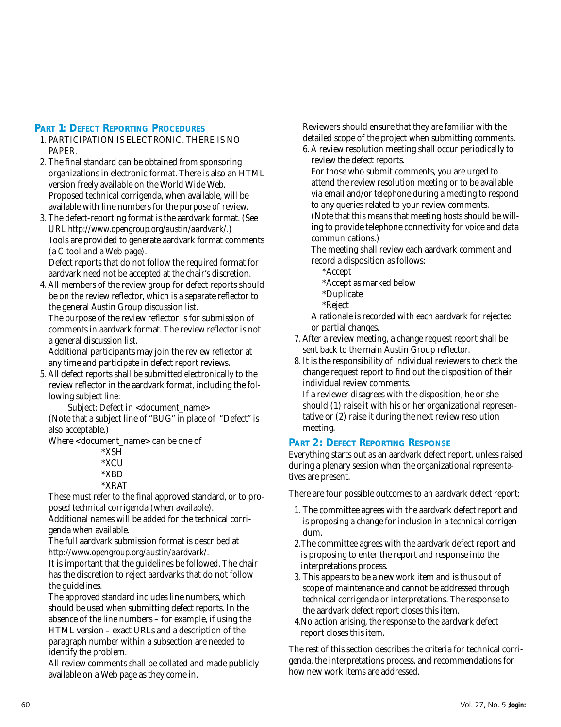## **PART 1: DEFECT REPORTING PROCEDURES**

- 1. PARTICIPATION IS ELECTRONIC. THERE IS NO PAPER.
- 2. The final standard can be obtained from sponsoring organizations in electronic format. There is also an HTML version freely available on the World Wide Web. Proposed technical corrigenda, when available, will be available with line numbers for the purpose of review.
- 3. The defect-reporting format is the aardvark format. (See URL *[http://www.opengroup.org/austin/aardvark/](http://www.opengroup.org/austin/aardvark/.)*.) Tools are provided to generate aardvark format comments (a C tool and a Web page). Defect reports that do not follow the required format for

aardvark need not be accepted at the chair's discretion.

4. All members of the review group for defect reports should be on the review reflector, which is a separate reflector to the general Austin Group discussion list.

The purpose of the review reflector is for submission of comments in aardvark format. The review reflector is not a general discussion list.

Additional participants may join the review reflector at any time and participate in defect report reviews.

5. All defect reports shall be submitted electronically to the review reflector in the aardvark format, including the following subject line:

Subject: Defect in <document\_name>

(Note that a subject line of "BUG" in place of "Defect" is also acceptable.)

Where <document\_name> can be one of

\*XSH \*XCU \*XBD \*XRAT

These must refer to the final approved standard, or to proposed technical corrigenda (when available).

Additional names will be added for the technical corrigenda when available.

The full aardvark submission format is described at *<http://www.opengroup.org/austin/aardvark/>*.

It is important that the guidelines be followed. The chair has the discretion to reject aardvarks that do not follow the guidelines.

The approved standard includes line numbers, which should be used when submitting defect reports. In the absence of the line numbers – for example, if using the HTML version – exact URLs and a description of the paragraph number within a subsection are needed to identify the problem.

All review comments shall be collated and made publicly available on a Web page as they come in.

Reviewers should ensure that they are familiar with the detailed scope of the project when submitting comments. 6. A review resolution meeting shall occur periodically to

review the defect reports.

For those who submit comments, you are urged to attend the review resolution meeting or to be available via email and/or telephone during a meeting to respond to any queries related to your review comments. (Note that this means that meeting hosts should be willing to provide telephone connectivity for voice and data communications.)

The meeting shall review each aardvark comment and record a disposition as follows:

- \*Accept
- \*Accept as marked below
- \*Duplicate
- \*Reject

A rationale is recorded with each aardvark for rejected or partial changes.

- 7. After a review meeting, a change request report shall be sent back to the main Austin Group reflector.
- 8. It is the responsibility of individual reviewers to check the change request report to find out the disposition of their individual review comments.

If a reviewer disagrees with the disposition, he or she should (1) raise it with his or her organizational representative or (2) raise it during the next review resolution meeting.

## **PART 2: DEFECT REPORTING RESPONSE**

Everything starts out as an aardvark defect report, unless raised during a plenary session when the organizational representatives are present.

There are four possible outcomes to an aardvark defect report:

- 1. The committee agrees with the aardvark defect report and is proposing a change for inclusion in a technical corrigendum.
- 2.The committee agrees with the aardvark defect report and is proposing to enter the report and response into the interpretations process.
- 3. This appears to be a new work item and is thus out of scope of maintenance and cannot be addressed through technical corrigenda or interpretations. The response to the aardvark defect report closes this item.
- 4.No action arising, the response to the aardvark defect report closes this item.

The rest of this section describes the criteria for technical corrigenda, the interpretations process, and recommendations for how new work items are addressed.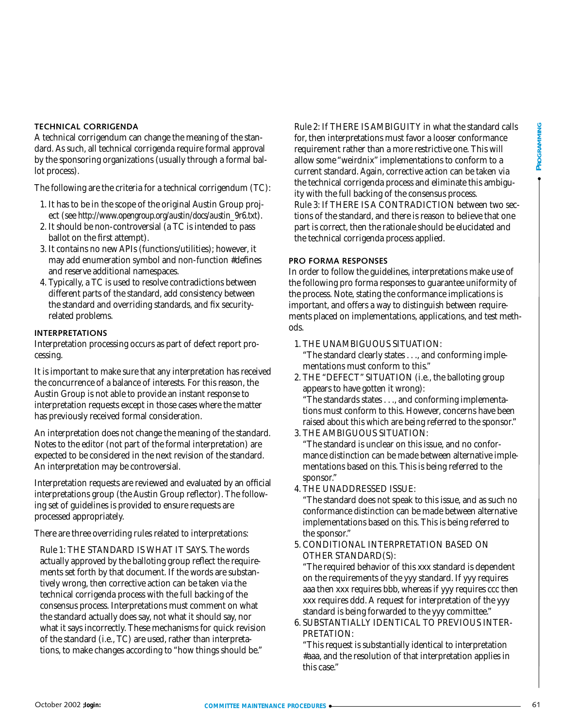#### **TECHNICAL CORRIGENDA**

A technical corrigendum can change the meaning of the standard. As such, all technical corrigenda require formal approval by the sponsoring organizations (usually through a formal ballot process).

The following are the criteria for a technical corrigendum (TC):

- 1. It has to be in the scope of the original Austin Group project (see *[http://www.opengroup.org/austin/docs/austin\\_9r6.txt](http://www.opengroup.org/austin/docs/austin_9r6.txt)*).
- 2. It should be non-controversial (a TC is intended to pass ballot on the first attempt).
- 3. It contains no new APIs (functions/utilities); however, it may add enumeration symbol and non-function #defines and reserve additional namespaces.
- 4. Typically, a TC is used to resolve contradictions between different parts of the standard, add consistency between the standard and overriding standards, and fix securityrelated problems.

#### **INTERPRETATIONS**

Interpretation processing occurs as part of defect report processing.

It is important to make sure that any interpretation has received the concurrence of a balance of interests. For this reason, the Austin Group is not able to provide an instant response to interpretation requests except in those cases where the matter has previously received formal consideration.

An interpretation does not change the meaning of the standard. Notes to the editor (not part of the formal interpretation) are expected to be considered in the next revision of the standard. An interpretation may be controversial.

Interpretation requests are reviewed and evaluated by an official interpretations group (the Austin Group reflector). The following set of guidelines is provided to ensure requests are processed appropriately.

There are three overriding rules related to interpretations:

Rule 1: THE STANDARD IS WHAT IT SAYS. The words actually approved by the balloting group reflect the requirements set forth by that document. If the words are substantively wrong, then corrective action can be taken via the technical corrigenda process with the full backing of the consensus process. Interpretations must comment on what the standard actually does say, not what it should say, nor what it says incorrectly. These mechanisms for quick revision of the standard (i.e., TC) are used, rather than interpretations, to make changes according to "how things should be."

Fichilated Constitution and the member of the singular properties of the singular constitution of the singular constitution of the singular constitution of the singular constitution of the singular constitution of the sing Rule 2: If THERE IS AMBIGUITY in what the standard calls for, then interpretations must favor a looser conformance requirement rather than a more restrictive one. This will allow some "weirdnix" implementations to conform to a current standard. Again, corrective action can be taken via the technical corrigenda process and eliminate this ambiguity with the full backing of the consensus process. Rule 3: If THERE IS A CONTRADICTION between two sections of the standard, and there is reason to believe that one part is correct, then the rationale should be elucidated and the technical corrigenda process applied.

#### **PRO FORMA RESPONSES**

In order to follow the guidelines, interpretations make use of the following pro forma responses to guarantee uniformity of the process. Note, stating the conformance implications is important, and offers a way to distinguish between requirements placed on implementations, applications, and test methods.

1. THE UNAMBIGUOUS SITUATION:

"The standard clearly states . . ., and conforming implementations must conform to this."

2. THE "DEFECT" SITUATION (i.e., the balloting group appears to have gotten it wrong):

"The standards states . . ., and conforming implementations must conform to this. However, concerns have been raised about this which are being referred to the sponsor."

- 3. THE AMBIGUOUS SITUATION: "The standard is unclear on this issue, and no conformance distinction can be made between alternative implementations based on this. This is being referred to the sponsor."
- 4. THE UNADDRESSED ISSUE:

"The standard does not speak to this issue, and as such no conformance distinction can be made between alternative implementations based on this. This is being referred to the sponsor."

5. CONDITIONAL INTERPRETATION BASED ON OTHER STANDARD(S):

"The required behavior of this xxx standard is dependent on the requirements of the yyy standard. If yyy requires aaa then xxx requires bbb, whereas if yyy requires ccc then xxx requires ddd. A request for interpretation of the yyy standard is being forwarded to the yyy committee."

6. SUBSTANTIALLY IDENTICAL TO PREVIOUS INTER-PRETATION:

"This request is substantially identical to interpretation #aaa, and the resolution of that interpretation applies in this case."